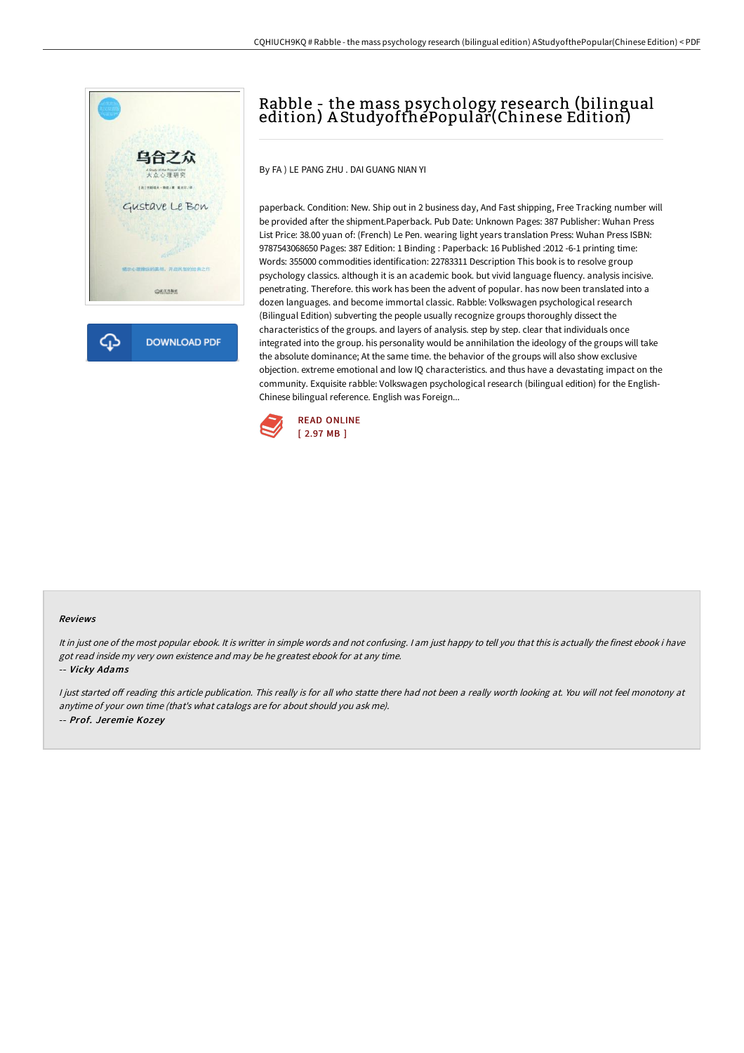



## Rabble - the mass psychology research (bilingual edition) A StudyofthePopular(Chinese Edition)

By FA ) LE PANG ZHU . DAI GUANG NIAN YI

paperback. Condition: New. Ship out in 2 business day, And Fast shipping, Free Tracking number will be provided after the shipment.Paperback. Pub Date: Unknown Pages: 387 Publisher: Wuhan Press List Price: 38.00 yuan of: (French) Le Pen. wearing light years translation Press: Wuhan Press ISBN: 9787543068650 Pages: 387 Edition: 1 Binding : Paperback: 16 Published :2012 -6-1 printing time: Words: 355000 commodities identification: 22783311 Description This book is to resolve group psychology classics. although it is an academic book. but vivid language fluency. analysis incisive. penetrating. Therefore. this work has been the advent of popular. has now been translated into a dozen languages. and become immortal classic. Rabble: Volkswagen psychological research (Bilingual Edition) subverting the people usually recognize groups thoroughly dissect the characteristics of the groups. and layers of analysis. step by step. clear that individuals once integrated into the group. his personality would be annihilation the ideology of the groups will take the absolute dominance; At the same time. the behavior of the groups will also show exclusive objection. extreme emotional and low IQ characteristics. and thus have a devastating impact on the community. Exquisite rabble: Volkswagen psychological research (bilingual edition) for the English-Chinese bilingual reference. English was Foreign...



## Reviews

It in just one of the most popular ebook. It is writter in simple words and not confusing. <sup>I</sup> am just happy to tell you that this is actually the finest ebook i have got read inside my very own existence and may be he greatest ebook for at any time. -- Vicky Adams

I just started off reading this article publication. This really is for all who statte there had not been a really worth looking at. You will not feel monotony at anytime of your own time (that's what catalogs are for about should you ask me). -- Prof. Jeremie Kozey